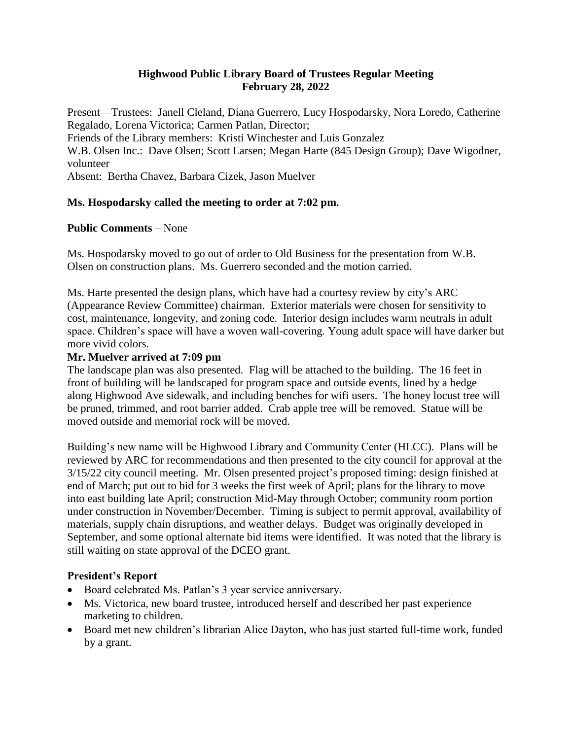### **Highwood Public Library Board of Trustees Regular Meeting February 28, 2022**

Present—Trustees: Janell Cleland, Diana Guerrero, Lucy Hospodarsky, Nora Loredo, Catherine Regalado, Lorena Victorica; Carmen Patlan, Director;

Friends of the Library members: Kristi Winchester and Luis Gonzalez

W.B. Olsen Inc.: Dave Olsen; Scott Larsen; Megan Harte (845 Design Group); Dave Wigodner, volunteer

Absent: Bertha Chavez, Barbara Cizek, Jason Muelver

# **Ms. Hospodarsky called the meeting to order at 7:02 pm.**

# **Public Comments** – None

Ms. Hospodarsky moved to go out of order to Old Business for the presentation from W.B. Olsen on construction plans. Ms. Guerrero seconded and the motion carried.

Ms. Harte presented the design plans, which have had a courtesy review by city's ARC (Appearance Review Committee) chairman. Exterior materials were chosen for sensitivity to cost, maintenance, longevity, and zoning code. Interior design includes warm neutrals in adult space. Children's space will have a woven wall-covering. Young adult space will have darker but more vivid colors.

# **Mr. Muelver arrived at 7:09 pm**

The landscape plan was also presented. Flag will be attached to the building. The 16 feet in front of building will be landscaped for program space and outside events, lined by a hedge along Highwood Ave sidewalk, and including benches for wifi users. The honey locust tree will be pruned, trimmed, and root barrier added. Crab apple tree will be removed. Statue will be moved outside and memorial rock will be moved.

Building's new name will be Highwood Library and Community Center (HLCC). Plans will be reviewed by ARC for recommendations and then presented to the city council for approval at the 3/15/22 city council meeting. Mr. Olsen presented project's proposed timing: design finished at end of March; put out to bid for 3 weeks the first week of April; plans for the library to move into east building late April; construction Mid-May through October; community room portion under construction in November/December. Timing is subject to permit approval, availability of materials, supply chain disruptions, and weather delays. Budget was originally developed in September, and some optional alternate bid items were identified. It was noted that the library is still waiting on state approval of the DCEO grant.

# **President's Report**

- Board celebrated Ms. Patlan's 3 year service anniversary.
- Ms. Victorica, new board trustee, introduced herself and described her past experience marketing to children.
- Board met new children's librarian Alice Dayton, who has just started full-time work, funded by a grant.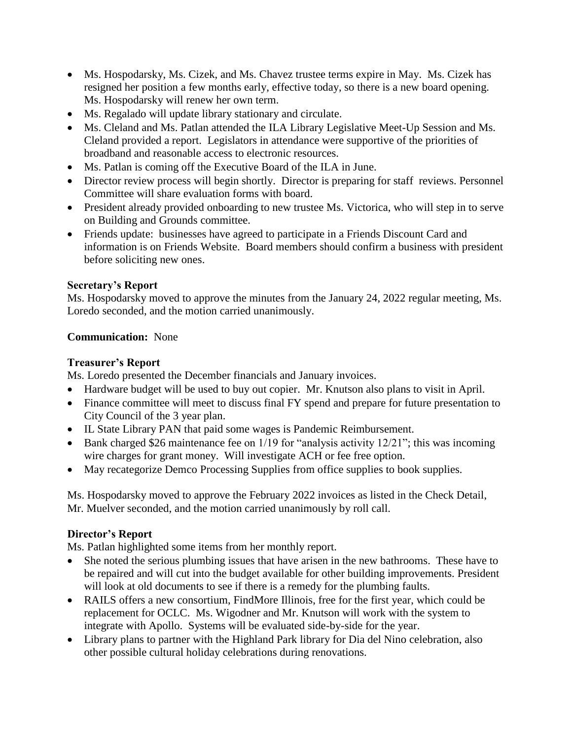- Ms. Hospodarsky, Ms. Cizek, and Ms. Chavez trustee terms expire in May. Ms. Cizek has resigned her position a few months early, effective today, so there is a new board opening. Ms. Hospodarsky will renew her own term.
- Ms. Regalado will update library stationary and circulate.
- Ms. Cleland and Ms. Patlan attended the ILA Library Legislative Meet-Up Session and Ms. Cleland provided a report. Legislators in attendance were supportive of the priorities of broadband and reasonable access to electronic resources.
- Ms. Patlan is coming off the Executive Board of the ILA in June.
- Director review process will begin shortly. Director is preparing for staff reviews. Personnel Committee will share evaluation forms with board.
- President already provided onboarding to new trustee Ms. Victorica, who will step in to serve on Building and Grounds committee.
- Friends update: businesses have agreed to participate in a Friends Discount Card and information is on Friends Website. Board members should confirm a business with president before soliciting new ones.

# **Secretary's Report**

Ms. Hospodarsky moved to approve the minutes from the January 24, 2022 regular meeting, Ms. Loredo seconded, and the motion carried unanimously.

### **Communication:** None

### **Treasurer's Report**

Ms. Loredo presented the December financials and January invoices.

- Hardware budget will be used to buy out copier. Mr. Knutson also plans to visit in April.
- Finance committee will meet to discuss final FY spend and prepare for future presentation to City Council of the 3 year plan.
- IL State Library PAN that paid some wages is Pandemic Reimbursement.
- Bank charged \$26 maintenance fee on  $1/19$  for "analysis activity  $12/21$ "; this was incoming wire charges for grant money. Will investigate ACH or fee free option.
- May recategorize Demco Processing Supplies from office supplies to book supplies.

Ms. Hospodarsky moved to approve the February 2022 invoices as listed in the Check Detail, Mr. Muelver seconded, and the motion carried unanimously by roll call.

# **Director's Report**

Ms. Patlan highlighted some items from her monthly report.

- She noted the serious plumbing issues that have arisen in the new bathrooms. These have to be repaired and will cut into the budget available for other building improvements. President will look at old documents to see if there is a remedy for the plumbing faults.
- RAILS offers a new consortium, FindMore Illinois, free for the first year, which could be replacement for OCLC. Ms. Wigodner and Mr. Knutson will work with the system to integrate with Apollo. Systems will be evaluated side-by-side for the year.
- Library plans to partner with the Highland Park library for Dia del Nino celebration, also other possible cultural holiday celebrations during renovations.